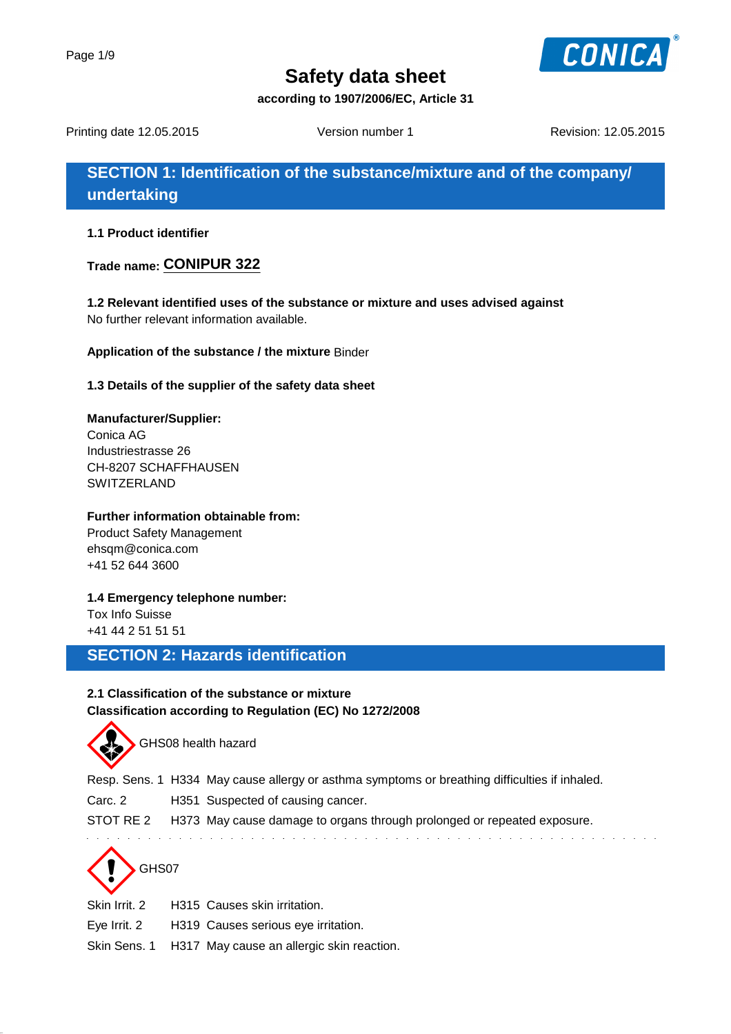

**according to 1907/2006/EC, Article 31**

Printing date 12.05.2015 Version number 1 Revision: 12.05.2015

**SECTION 1: Identification of the substance/mixture and of the company/ undertaking**

**1.1 Product identifier**

**Trade name: CONIPUR 322**

**1.2 Relevant identified uses of the substance or mixture and uses advised against** No further relevant information available.

**Application of the substance / the mixture** Binder

**1.3 Details of the supplier of the safety data sheet**

**Manufacturer/Supplier:** Conica AG Industriestrasse 26 CH-8207 SCHAFFHAUSEN **SWITZERLAND** 

#### **Further information obtainable from:**

Product Safety Management ehsqm@conica.com +41 52 644 3600

**1.4 Emergency telephone number:**

Tox Info Suisse +41 44 2 51 51 51

## **SECTION 2: Hazards identification**

### **2.1 Classification of the substance or mixture Classification according to Regulation (EC) No 1272/2008**



GHS08 health hazard

Resp. Sens. 1 H334 May cause allergy or asthma symptoms or breathing difficulties if inhaled.

Carc. 2 H351 Suspected of causing cancer.

STOT RE 2 H373 May cause damage to organs through prolonged or repeated exposure.



Skin Irrit. 2 H315 Causes skin irritation.

Eye Irrit. 2 H319 Causes serious eye irritation.

Skin Sens. 1 H317 May cause an allergic skin reaction.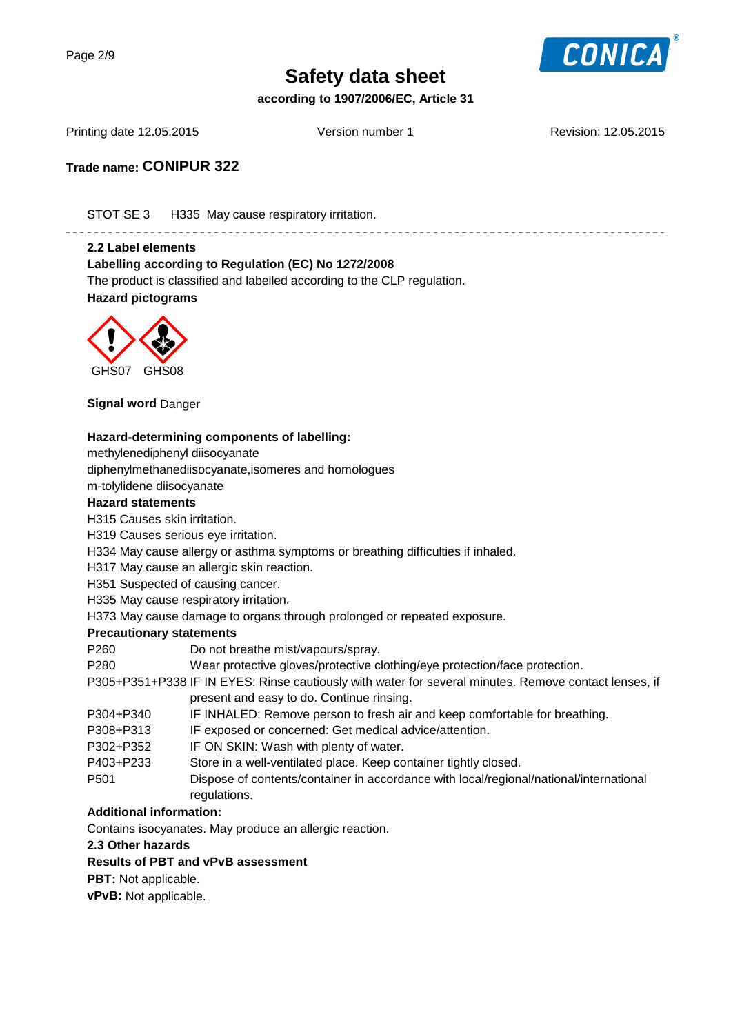

**according to 1907/2006/EC, Article 31**

Printing date 12.05.2015 Version number 1 Revision: 12.05.2015

**Trade name: CONIPUR 322**

STOT SE 3 H335 May cause respiratory irritation.

#### **2.2 Label elements**

**Labelling according to Regulation (EC) No 1272/2008** The product is classified and labelled according to the CLP regulation.

. 2 2 2 2 2 2 2 2 2 2 2 2





**Signal word** Danger

#### **Hazard-determining components of labelling:**

methylenediphenyl diisocyanate

diphenylmethanediisocyanate,isomeres and homologues

m-tolylidene diisocyanate

#### **Hazard statements**

H315 Causes skin irritation.

- H319 Causes serious eye irritation.
- H334 May cause allergy or asthma symptoms or breathing difficulties if inhaled.

H317 May cause an allergic skin reaction.

H351 Suspected of causing cancer.

H335 May cause respiratory irritation.

H373 May cause damage to organs through prolonged or repeated exposure.

#### **Precautionary statements**

P260 Do not breathe mist/vapours/spray.

P280 Wear protective gloves/protective clothing/eye protection/face protection.

- P305+P351+P338 IF IN EYES: Rinse cautiously with water for several minutes. Remove contact lenses, if present and easy to do. Continue rinsing.
- P304+P340 IF INHALED: Remove person to fresh air and keep comfortable for breathing.
- P308+P313 IF exposed or concerned: Get medical advice/attention.
- P302+P352 IF ON SKIN: Wash with plenty of water.
- P403+P233 Store in a well-ventilated place. Keep container tightly closed.
- P501 Dispose of contents/container in accordance with local/regional/national/international regulations.

#### **Additional information:**

Contains isocyanates. May produce an allergic reaction.

#### **2.3 Other hazards**

#### **Results of PBT and vPvB assessment**

**PBT:** Not applicable.

**vPvB:** Not applicable.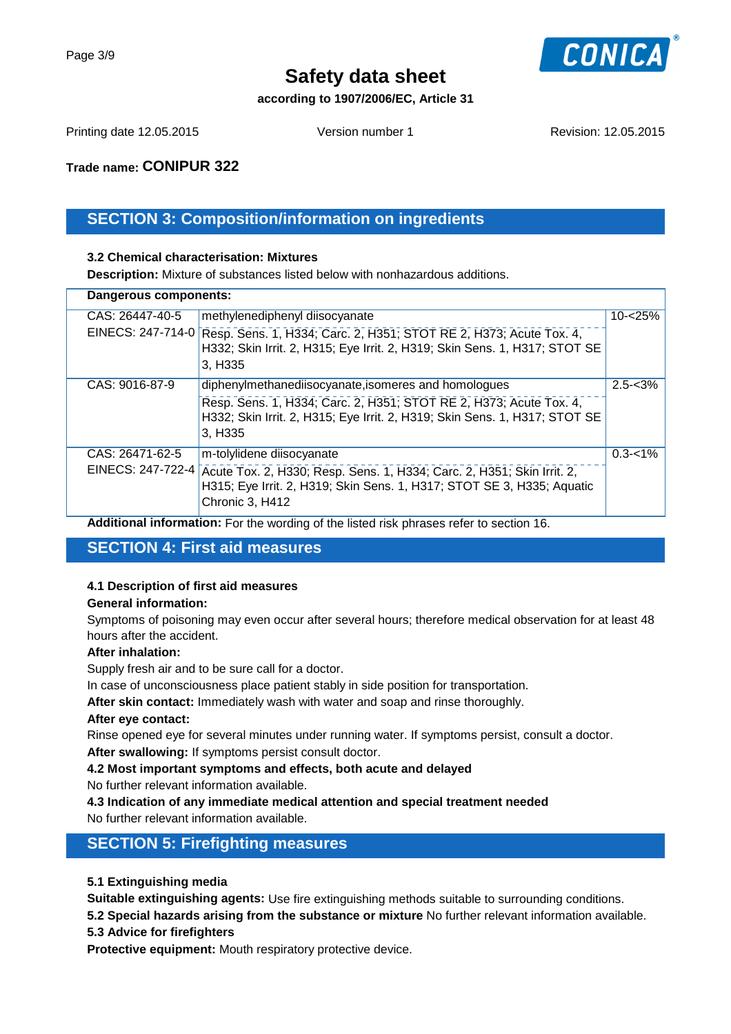

#### **according to 1907/2006/EC, Article 31**

Printing date 12.05.2015 Version number 1 Revision: 12.05.2015

**Trade name: CONIPUR 322**

## **SECTION 3: Composition/information on ingredients**

#### **3.2 Chemical characterisation: Mixtures**

**Description:** Mixture of substances listed below with nonhazardous additions.

| Dangerous components: |                                      |                                                                                                                                                                                    |             |  |
|-----------------------|--------------------------------------|------------------------------------------------------------------------------------------------------------------------------------------------------------------------------------|-------------|--|
|                       | CAS: 26447-40-5<br>EINECS: 247-714-0 | methylenediphenyl diisocyanate<br>Resp. Sens. 1, H334; Carc. 2, H351; STOT RE 2, H373; Acute Tox. 4,<br>H332; Skin Irrit. 2, H315; Eye Irrit. 2, H319; Skin Sens. 1, H317; STOT SE | $10 - 25%$  |  |
|                       |                                      | 3, H335                                                                                                                                                                            |             |  |
|                       | CAS: 9016-87-9                       | diphenylmethanediisocyanate, isomeres and homologues<br>Resp. Sens. 1, H334; Carc. 2, H351; STOT RE 2, H373; Acute Tox. 4,                                                         | $2.5 - 3\%$ |  |
|                       |                                      | H332; Skin Irrit. 2, H315; Eye Irrit. 2, H319; Skin Sens. 1, H317; STOT SE<br>3, H335                                                                                              |             |  |
|                       | CAS: 26471-62-5                      | m-tolylidene diisocyanate                                                                                                                                                          | $0.3 - 1\%$ |  |
|                       | EINECS: 247-722-4                    | Acute Tox. 2, H330; Resp. Sens. 1, H334; Carc. 2, H351; Skin Irrit. 2,<br>H315; Eye Irrit. 2, H319; Skin Sens. 1, H317; STOT SE 3, H335; Aquatic<br>Chronic 3, H412                |             |  |
|                       |                                      |                                                                                                                                                                                    |             |  |

**Additional information:** For the wording of the listed risk phrases refer to section 16.

## **SECTION 4: First aid measures**

#### **4.1 Description of first aid measures**

#### **General information:**

Symptoms of poisoning may even occur after several hours; therefore medical observation for at least 48 hours after the accident.

#### **After inhalation:**

Supply fresh air and to be sure call for a doctor.

In case of unconsciousness place patient stably in side position for transportation.

**After skin contact:** Immediately wash with water and soap and rinse thoroughly.

#### **After eye contact:**

Rinse opened eye for several minutes under running water. If symptoms persist, consult a doctor.

**After swallowing:** If symptoms persist consult doctor.

**4.2 Most important symptoms and effects, both acute and delayed**

No further relevant information available.

**4.3 Indication of any immediate medical attention and special treatment needed**

No further relevant information available.

## **SECTION 5: Firefighting measures**

#### **5.1 Extinguishing media**

**Suitable extinguishing agents:** Use fire extinguishing methods suitable to surrounding conditions.

**5.2 Special hazards arising from the substance or mixture** No further relevant information available.

#### **5.3 Advice for firefighters**

**Protective equipment:** Mouth respiratory protective device.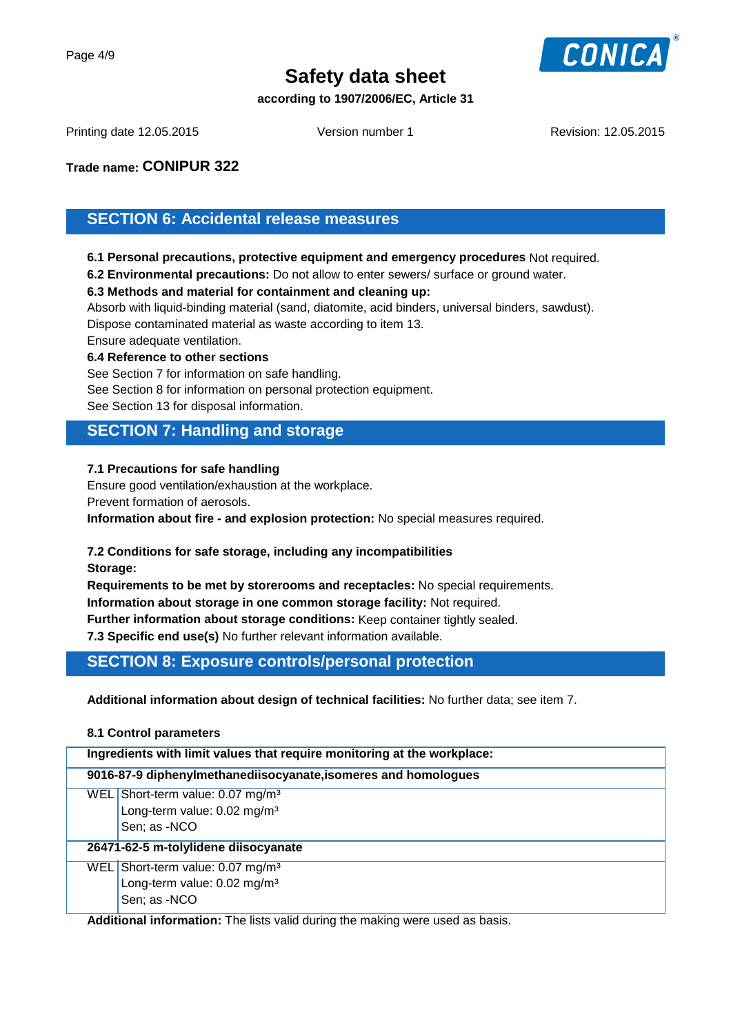

#### **according to 1907/2006/EC, Article 31**

Printing date 12.05.2015 Version number 1 Revision: 12.05.2015

### **Trade name: CONIPUR 322**

## **SECTION 6: Accidental release measures**

**6.1 Personal precautions, protective equipment and emergency procedures** Not required.

**6.2 Environmental precautions:** Do not allow to enter sewers/ surface or ground water.

#### **6.3 Methods and material for containment and cleaning up:**

Absorb with liquid-binding material (sand, diatomite, acid binders, universal binders, sawdust).

Dispose contaminated material as waste according to item 13.

Ensure adequate ventilation.

#### **6.4 Reference to other sections**

See Section 7 for information on safe handling. See Section 8 for information on personal protection equipment.

See Section 13 for disposal information.

### **SECTION 7: Handling and storage**

#### **7.1 Precautions for safe handling**

Ensure good ventilation/exhaustion at the workplace. Prevent formation of aerosols. **Information about fire - and explosion protection:** No special measures required.

#### **7.2 Conditions for safe storage, including any incompatibilities**

**Storage:**

**Requirements to be met by storerooms and receptacles:** No special requirements. **Information about storage in one common storage facility:** Not required.

**Further information about storage conditions:** Keep container tightly sealed.

**7.3 Specific end use(s)** No further relevant information available.

## **SECTION 8: Exposure controls/personal protection**

**Additional information about design of technical facilities:** No further data; see item 7.

#### **8.1 Control parameters**

| Ingredients with limit values that require monitoring at the workplace: |                                                                                                           |  |  |  |
|-------------------------------------------------------------------------|-----------------------------------------------------------------------------------------------------------|--|--|--|
| 9016-87-9 diphenylmethanediisocyanate, isomeres and homologues          |                                                                                                           |  |  |  |
|                                                                         | WEL Short-term value: $0.07$ mg/m <sup>3</sup><br>Long-term value: 0.02 mg/m <sup>3</sup><br>Sen; as -NCO |  |  |  |
| 26471-62-5 m-tolylidene diisocyanate                                    |                                                                                                           |  |  |  |
|                                                                         | WEL Short-term value: $0.07$ mg/m <sup>3</sup><br>Long-term value: 0.02 mg/m <sup>3</sup><br>Sen; as -NCO |  |  |  |

**Additional information:** The lists valid during the making were used as basis.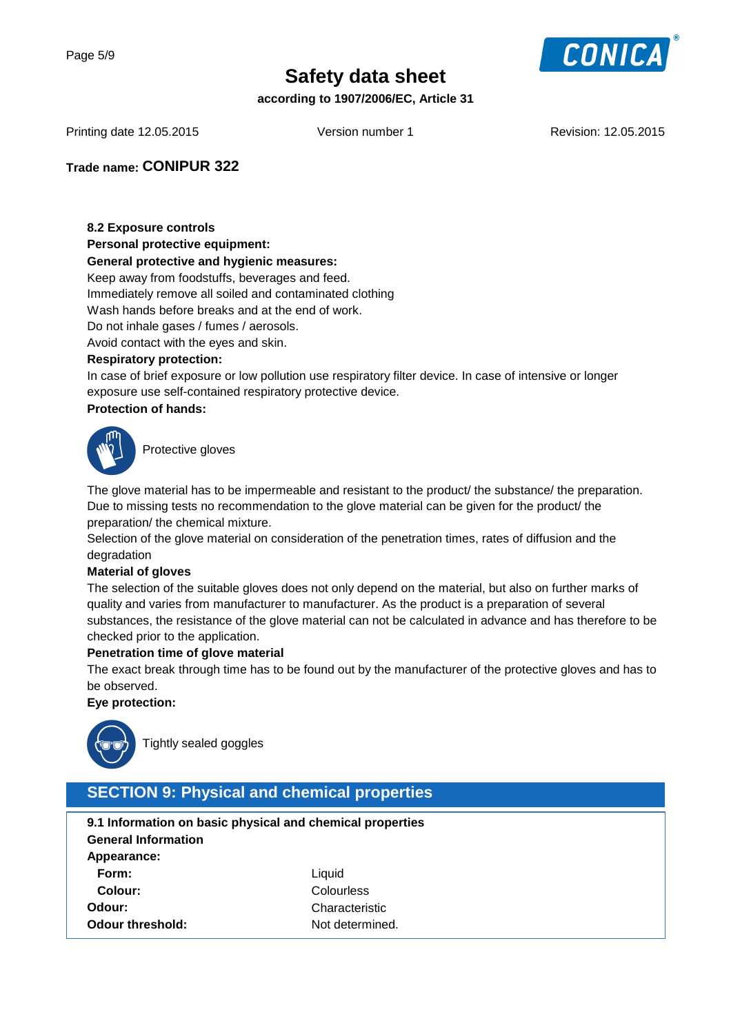

**according to 1907/2006/EC, Article 31**

Printing date 12.05.2015 Version number 1 Revision: 12.05.2015

### **Trade name: CONIPUR 322**

#### **8.2 Exposure controls**

#### **Personal protective equipment:**

#### **General protective and hygienic measures:**

Keep away from foodstuffs, beverages and feed.

Immediately remove all soiled and contaminated clothing

Wash hands before breaks and at the end of work.

Do not inhale gases / fumes / aerosols.

Avoid contact with the eyes and skin.

#### **Respiratory protection:**

In case of brief exposure or low pollution use respiratory filter device. In case of intensive or longer exposure use self-contained respiratory protective device.

#### **Protection of hands:**



Protective gloves

The glove material has to be impermeable and resistant to the product/ the substance/ the preparation. Due to missing tests no recommendation to the glove material can be given for the product/ the preparation/ the chemical mixture.

Selection of the glove material on consideration of the penetration times, rates of diffusion and the degradation

#### **Material of gloves**

The selection of the suitable gloves does not only depend on the material, but also on further marks of quality and varies from manufacturer to manufacturer. As the product is a preparation of several substances, the resistance of the glove material can not be calculated in advance and has therefore to be checked prior to the application.

#### **Penetration time of glove material**

The exact break through time has to be found out by the manufacturer of the protective gloves and has to be observed.

#### **Eye protection:**



Tightly sealed goggles

## **SECTION 9: Physical and chemical properties**

| 9.1 Information on basic physical and chemical properties |                 |  |  |  |  |
|-----------------------------------------------------------|-----------------|--|--|--|--|
| <b>General Information</b>                                |                 |  |  |  |  |
| Appearance:                                               |                 |  |  |  |  |
| Form:                                                     | Liquid          |  |  |  |  |
| Colour:                                                   | Colourless      |  |  |  |  |
| Odour:                                                    | Characteristic  |  |  |  |  |
| Odour threshold:                                          | Not determined. |  |  |  |  |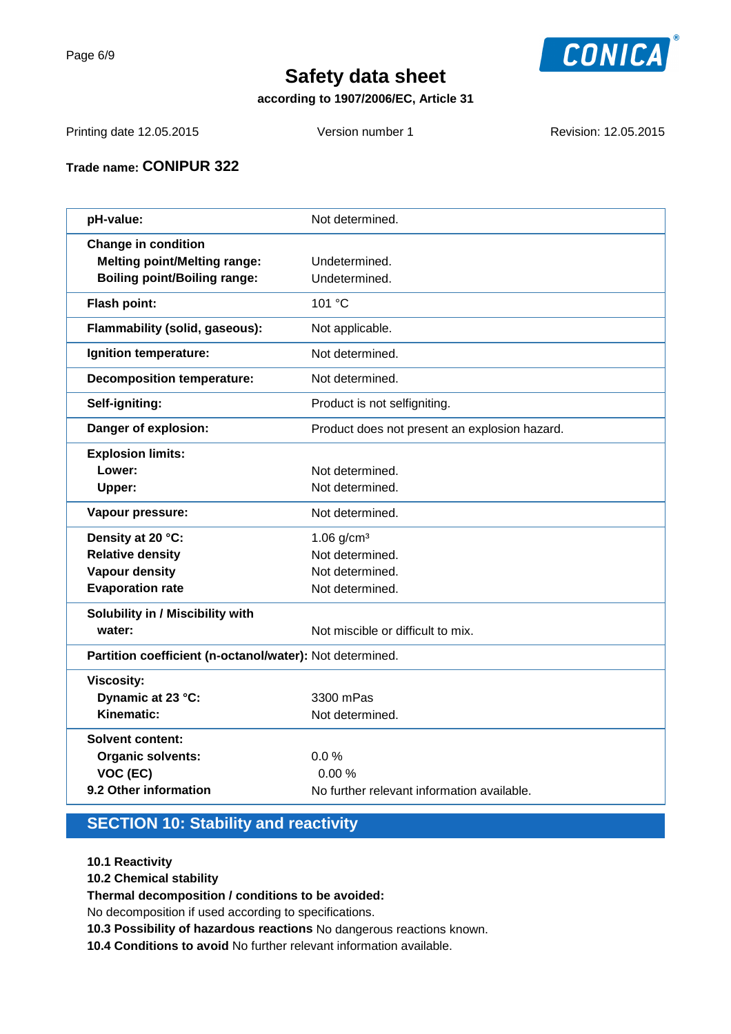

## **according to 1907/2006/EC, Article 31**

Printing date 12.05.2015 Version number 1 Revision: 12.05.2015

## **Trade name: CONIPUR 322**

| pH-value:                                                | Not determined.                               |  |
|----------------------------------------------------------|-----------------------------------------------|--|
| <b>Change in condition</b>                               |                                               |  |
| <b>Melting point/Melting range:</b>                      | Undetermined.                                 |  |
| <b>Boiling point/Boiling range:</b>                      | Undetermined.                                 |  |
| Flash point:                                             | 101 °C                                        |  |
| Flammability (solid, gaseous):                           | Not applicable.                               |  |
| Ignition temperature:                                    | Not determined.                               |  |
| <b>Decomposition temperature:</b>                        | Not determined.                               |  |
| Self-igniting:                                           | Product is not selfigniting.                  |  |
| Danger of explosion:                                     | Product does not present an explosion hazard. |  |
| <b>Explosion limits:</b>                                 |                                               |  |
| Lower:                                                   | Not determined.                               |  |
| Upper:                                                   | Not determined.                               |  |
| Vapour pressure:                                         | Not determined.                               |  |
| Density at 20 °C:                                        | $1.06$ g/cm <sup>3</sup>                      |  |
| <b>Relative density</b>                                  | Not determined.                               |  |
| <b>Vapour density</b>                                    | Not determined.                               |  |
| <b>Evaporation rate</b>                                  | Not determined.                               |  |
| Solubility in / Miscibility with                         |                                               |  |
| water:                                                   | Not miscible or difficult to mix.             |  |
| Partition coefficient (n-octanol/water): Not determined. |                                               |  |
| <b>Viscosity:</b>                                        |                                               |  |
| Dynamic at 23 °C:                                        | 3300 mPas                                     |  |
| Kinematic:                                               | Not determined.                               |  |
| <b>Solvent content:</b>                                  |                                               |  |
| <b>Organic solvents:</b>                                 | 0.0%                                          |  |
| VOC (EC)                                                 | 0.00%                                         |  |
| 9.2 Other information                                    | No further relevant information available.    |  |
|                                                          |                                               |  |

## **SECTION 10: Stability and reactivity**

**10.1 Reactivity**

**10.2 Chemical stability**

**Thermal decomposition / conditions to be avoided:**

No decomposition if used according to specifications.

- **10.3 Possibility of hazardous reactions** No dangerous reactions known.
- **10.4 Conditions to avoid** No further relevant information available.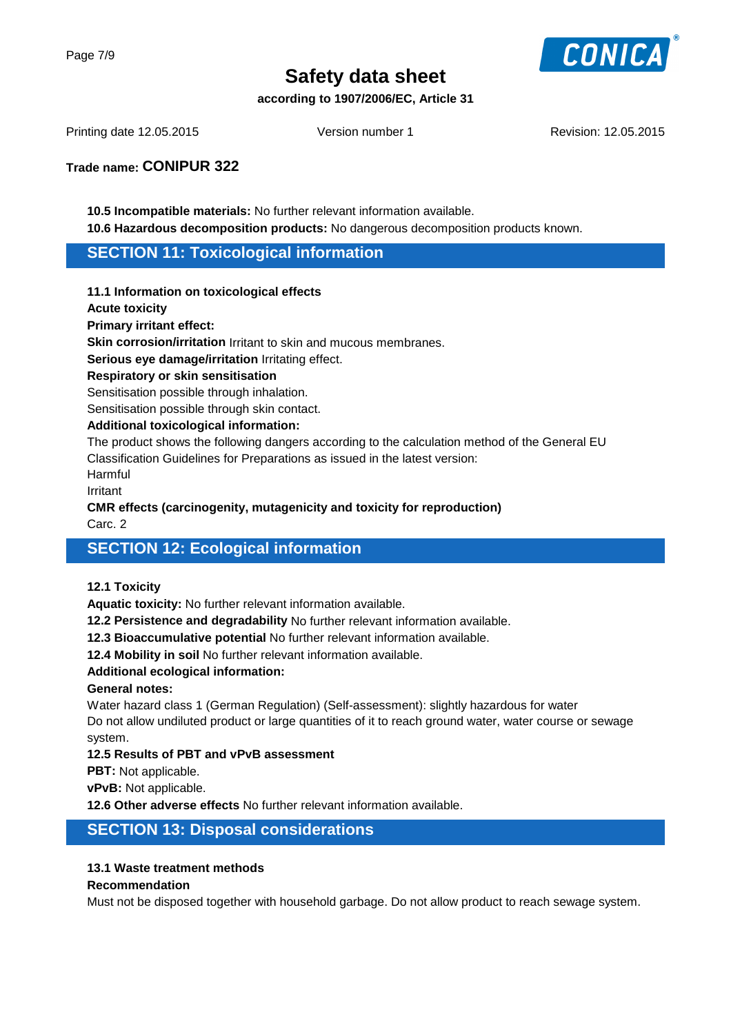

**according to 1907/2006/EC, Article 31**

Printing date 12.05.2015 Version number 1 Revision: 12.05.2015

**Trade name: CONIPUR 322**

**10.5 Incompatible materials:** No further relevant information available. **10.6 Hazardous decomposition products:** No dangerous decomposition products known.

### **SECTION 11: Toxicological information**

#### **11.1 Information on toxicological effects**

**Acute toxicity**

**Primary irritant effect:**

**Skin corrosion/irritation** Irritant to skin and mucous membranes.

**Serious eye damage/irritation** Irritating effect.

**Respiratory or skin sensitisation**

Sensitisation possible through inhalation.

Sensitisation possible through skin contact.

#### **Additional toxicological information:**

The product shows the following dangers according to the calculation method of the General EU Classification Guidelines for Preparations as issued in the latest version:

Harmful

Irritant

## **CMR effects (carcinogenity, mutagenicity and toxicity for reproduction)**

Carc. 2

## **SECTION 12: Ecological information**

#### **12.1 Toxicity**

**Aquatic toxicity:** No further relevant information available.

**12.2 Persistence and degradability** No further relevant information available.

**12.3 Bioaccumulative potential** No further relevant information available.

**12.4 Mobility in soil** No further relevant information available.

#### **Additional ecological information:**

#### **General notes:**

Water hazard class 1 (German Regulation) (Self-assessment): slightly hazardous for water Do not allow undiluted product or large quantities of it to reach ground water, water course or sewage system.

#### **12.5 Results of PBT and vPvB assessment**

**PBT:** Not applicable.

**vPvB:** Not applicable.

**12.6 Other adverse effects** No further relevant information available.

## **SECTION 13: Disposal considerations**

#### **13.1 Waste treatment methods**

#### **Recommendation**

Must not be disposed together with household garbage. Do not allow product to reach sewage system.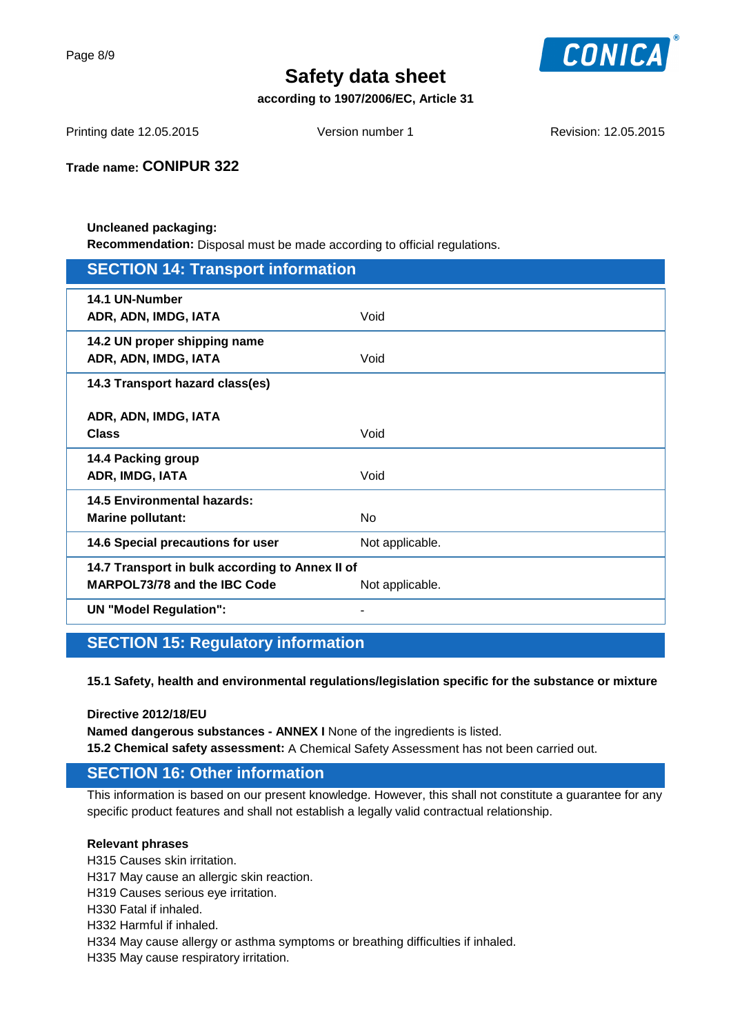Page 8/9



# **Safety data sheet**

**according to 1907/2006/EC, Article 31**

Printing date 12.05.2015 Version number 1 Revision: 12.05.2015

**Trade name: CONIPUR 322**

#### **Uncleaned packaging: Recommendation:** Disposal must be made according to official regulations.

| <b>SECTION 14: Transport information</b>                                        |                 |  |
|---------------------------------------------------------------------------------|-----------------|--|
| 14.1 UN-Number<br>ADR, ADN, IMDG, IATA                                          | Void            |  |
| 14.2 UN proper shipping name<br>ADR, ADN, IMDG, IATA                            | Void            |  |
| 14.3 Transport hazard class(es)                                                 |                 |  |
| ADR, ADN, IMDG, IATA<br><b>Class</b>                                            | Void            |  |
| 14.4 Packing group<br>ADR, IMDG, IATA                                           | Void            |  |
| <b>14.5 Environmental hazards:</b><br><b>Marine pollutant:</b>                  | <b>No</b>       |  |
| 14.6 Special precautions for user                                               | Not applicable. |  |
| 14.7 Transport in bulk according to Annex II of<br>MARPOL73/78 and the IBC Code | Not applicable. |  |
| <b>UN "Model Regulation":</b>                                                   |                 |  |

# **SECTION 15: Regulatory information**

**15.1 Safety, health and environmental regulations/legislation specific for the substance or mixture**

**Directive 2012/18/EU**

**Named dangerous substances - ANNEX I** None of the ingredients is listed. **15.2 Chemical safety assessment:** A Chemical Safety Assessment has not been carried out.

## **SECTION 16: Other information**

This information is based on our present knowledge. However, this shall not constitute a guarantee for any specific product features and shall not establish a legally valid contractual relationship.

#### **Relevant phrases**

H315 Causes skin irritation.

H317 May cause an allergic skin reaction.

H319 Causes serious eye irritation.

H330 Fatal if inhaled.

H332 Harmful if inhaled.

H334 May cause allergy or asthma symptoms or breathing difficulties if inhaled.

H335 May cause respiratory irritation.